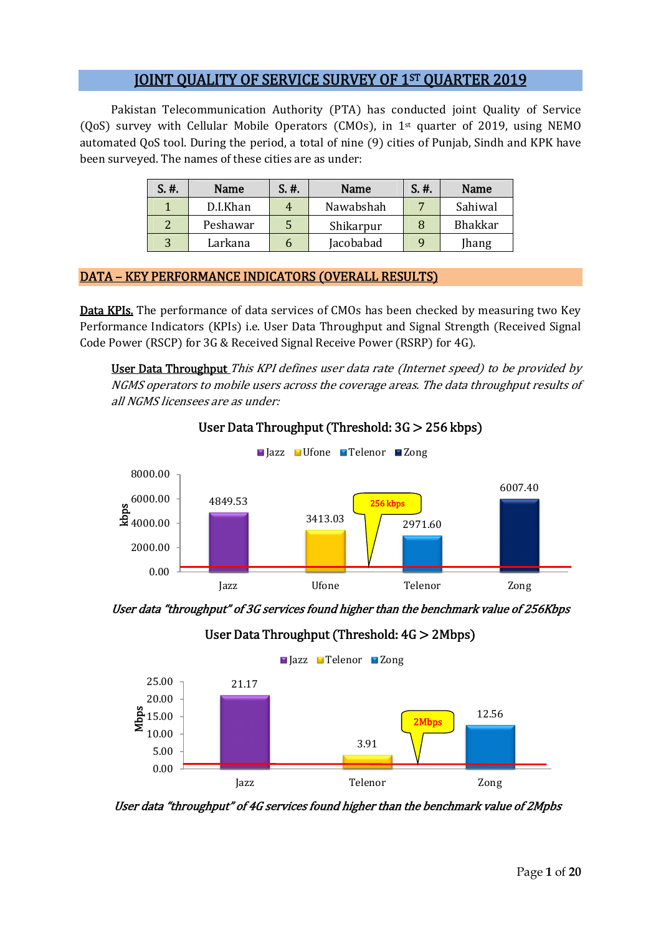# JOINT QUALITY OF SERVICE SURVEY OF 1ST QUARTER 2019

Pakistan Telecommunication Authority (PTA) has conducted joint Quality of Service (QoS) survey with Cellular Mobile Operators (CMOs), in 1st quarter of 2019, using NEMO automated QoS tool. During the period, a total of nine (9) cities of Punjab, Sindh and KPK have been surveyed. The names of these cities are as under:

| S. #. | Name     | S. #. | Name      | S. #. | Name           |
|-------|----------|-------|-----------|-------|----------------|
|       | D.I.Khan |       | Nawabshah |       | Sahiwal        |
|       | Peshawar |       | Shikarpur |       | <b>Bhakkar</b> |
|       | Larkana  |       | Jacobabad |       | Jhang          |

## DATA – KEY PERFORMANCE INDICATORS (OVERALL RESULTS)

Data KPIs. The performance of data services of CMOs has been checked by measuring two Key Performance Indicators (KPIs) i.e. User Data Throughput and Signal Strength (Received Signal Code Power (RSCP) for 3G & Received Signal Receive Power (RSRP) for 4G).

User Data Throughput This KPI defines user data rate (Internet speed) to be provided by NGMS operators to mobile users across the coverage areas. The data throughput results of all NGMS licensees are as under:



#### User Data Throughput (Threshold: 3G > 256 kbps)

User data "throughput" of 3G services found higher than the benchmark value of 256Kbps

User Data Throughput (Threshold: 4G > 2Mbps)



User data "throughput" of 4G services found higher than the benchmark value of 2Mpbs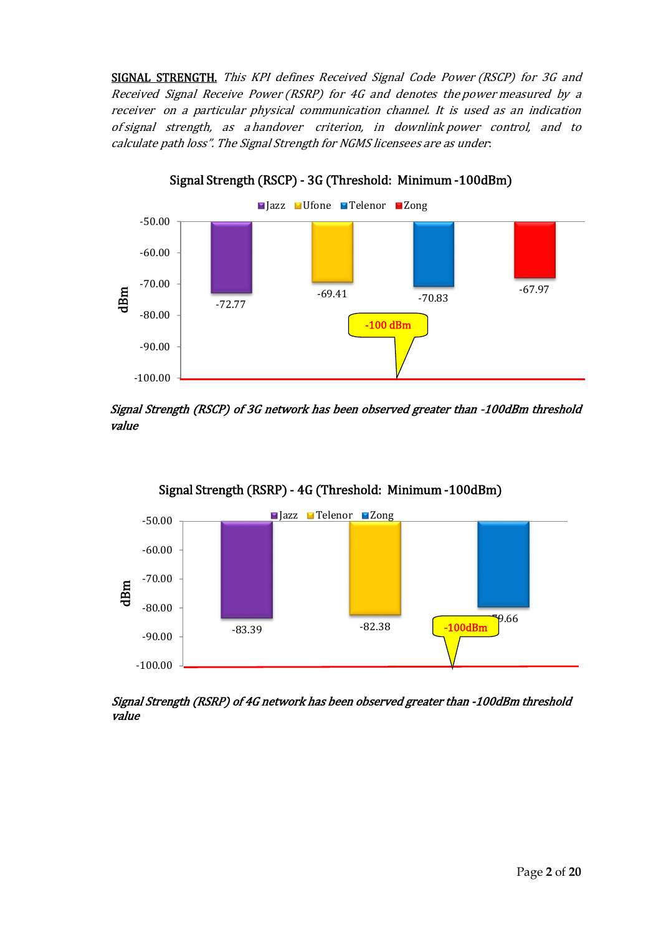SIGNAL STRENGTH. This KPI defines Received Signal Code Power (RSCP) for 3G and Received Signal Receive Power (RSRP) for 4G and denotes the power measured by a receiver on a particular physical communication channel. It is used as an indication of signal strength, as a handover criterion, in downlink power control, and to calculate path loss". The Signal Strength for NGMS licensees are as under:

Signal Strength (RSCP) - 3G (Threshold: Minimum -100dBm)



Signal Strength (RSCP) of 3G network has been observed greater than -100dBm threshold

value





Signal Strength (RSRP) of 4G network has been observed greater than -100dBm threshold value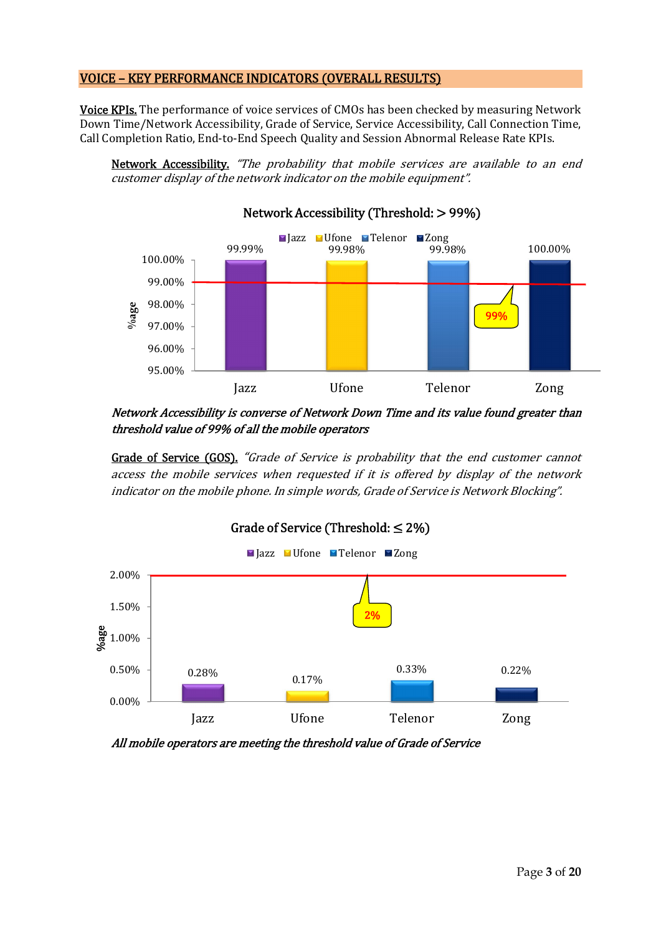#### VOICE – KEY PERFORMANCE INDICATORS (OVERALL RESULTS)

**Voice KPIs.** The performance of voice services of CMOs has been checked by measuring Network Down Time/Network Accessibility, Grade of Service, Service Accessibility, Call Connection Time, Call Completion Ratio, End-to-End Speech Quality and Session Abnormal Release Rate KPIs.

Network Accessibility. "The probability that mobile services are available to an end customer display of the network indicator on the mobile equipment".



Network Accessibility is converse of Network Down Time and its value found greater than threshold value of 99% of all the mobile operators

Grade of Service (GOS). "Grade of Service is probability that the end customer cannot access the mobile services when requested if it is offered by display of the network indicator on the mobile phone. In simple words, Grade of Service is Network Blocking".



All mobile operators are meeting the threshold value of Grade of Service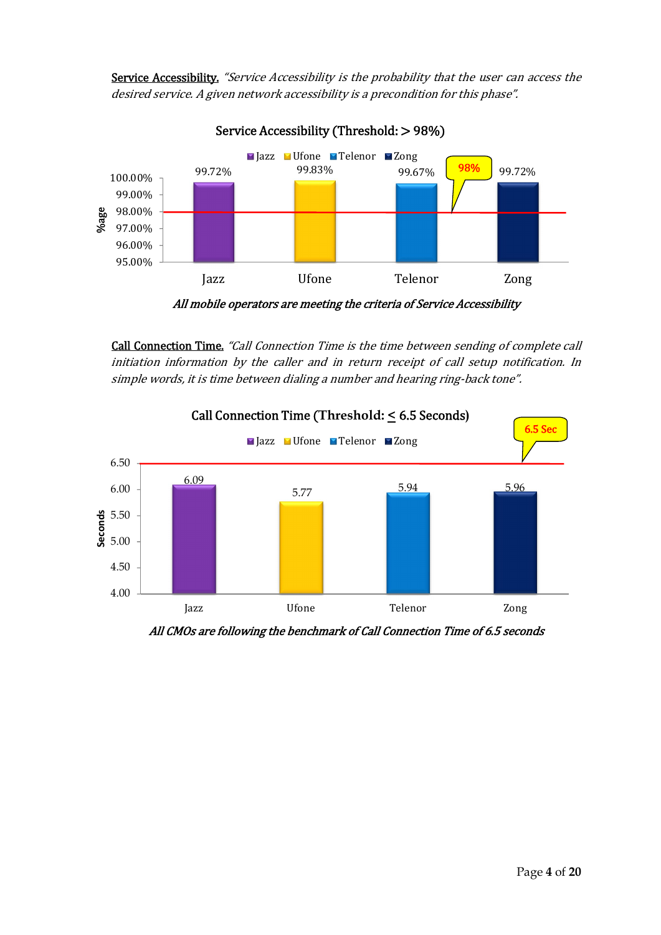Service Accessibility. "Service Accessibility is the probability that the user can access the desired service. A given network accessibility is a precondition for this phase".



Call Connection Time. "Call Connection Time is the time between sending of complete call initiation information by the caller and in return receipt of call setup notification. In simple words, it is time between dialing a number and hearing ring-back tone".



All CMOs are following the benchmark of Call Connection Time of 6.5 seconds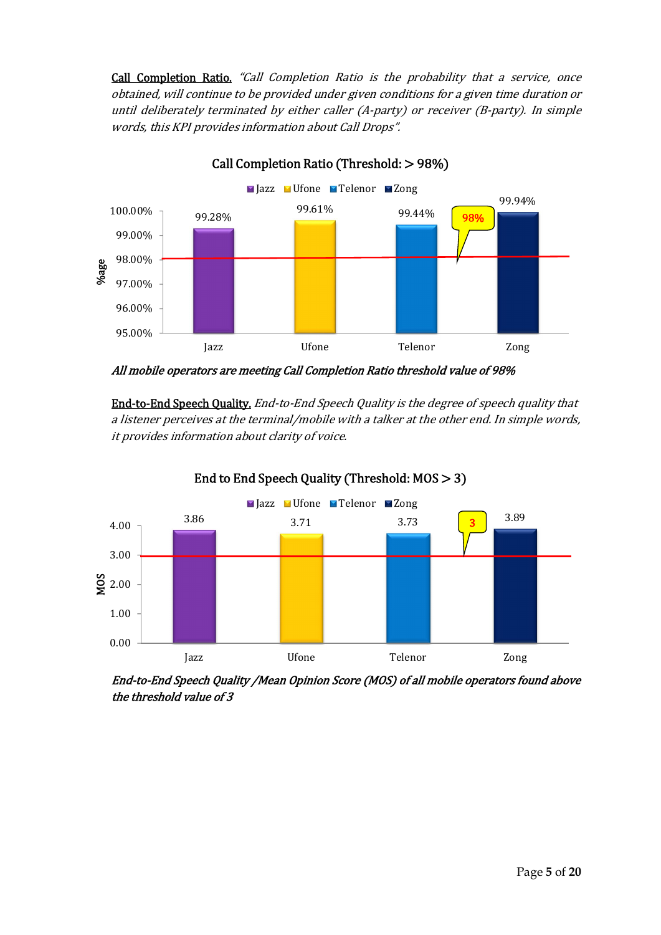Call Completion Ratio. "Call Completion Ratio is the probability that a service, once obtained, will continue to be provided under given conditions for a given time duration or until deliberately terminated by either caller (A-party) or receiver (B-party). In simple words, this KPI provides information about Call Drops".



Call Completion Ratio (Threshold: > 98%)

All mobile operators are meeting Call Completion Ratio threshold value of 98%

End-to-End Speech Quality. End-to-End Speech Quality is the degree of speech quality that a listener perceives at the terminal/mobile with a talker at the other end. In simple words, it provides information about clarity of voice.



End to End Speech Quality (Threshold: MOS > 3)

End-to-End Speech Quality /Mean Opinion Score (MOS) of all mobile operators found above the threshold value of 3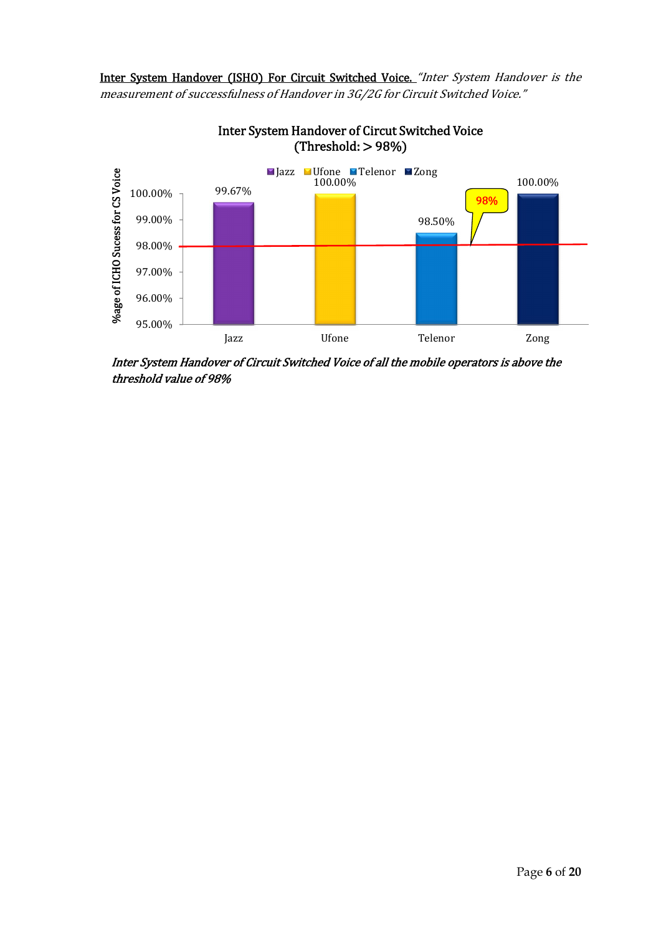Inter System Handover (ISHO) For Circuit Switched Voice. "Inter System Handover is the measurement of successfulness of Handover in 3G/2G for Circuit Switched Voice."



Inter System Handover of Circut Switched Voice  $(Threshold: > 98%)$ 

Inter System Handover of Circuit Switched Voice of all the mobile operators is above the threshold value of 98%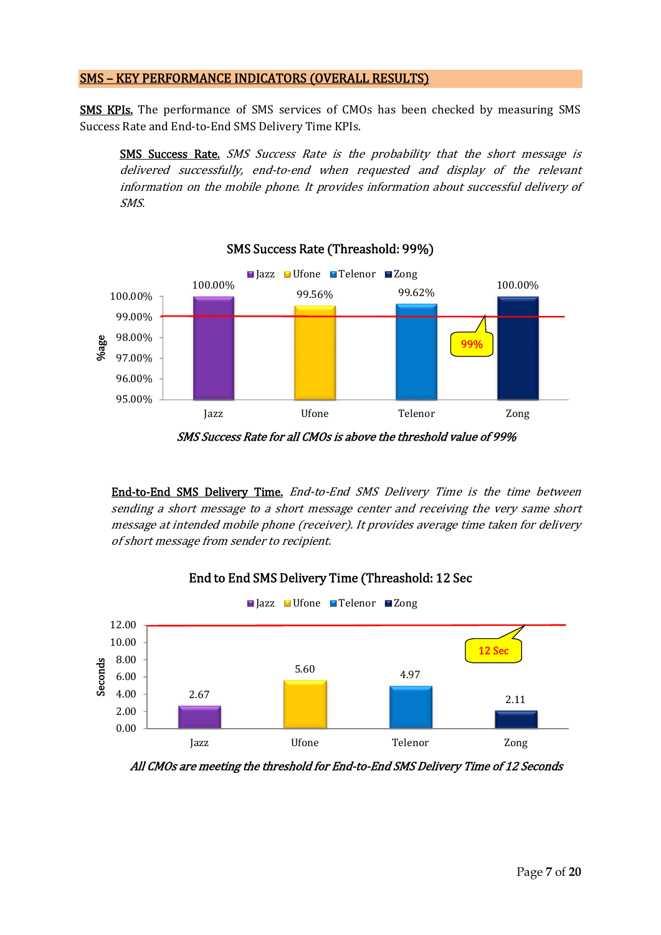#### SMS – KEY PERFORMANCE INDICATORS (OVERALL RESULTS)

SMS KPIs. The performance of SMS services of CMOs has been checked by measuring SMS Success Rate and End-to-End SMS Delivery Time KPIs.

SMS Success Rate. SMS Success Rate is the probability that the short message is delivered successfully, end-to-end when requested and display of the relevant information on the mobile phone. It provides information about successful delivery of SMS.



SMS Success Rate for all CMOs is above the threshold value of 99%

End-to-End SMS Delivery Time. End-to-End SMS Delivery Time is the time between sending a short message to a short message center and receiving the very same short message at intended mobile phone (receiver). It provides average time taken for delivery of short message from sender to recipient.



### End to End SMS Delivery Time (Threashold: 12 Sec

All CMOs are meeting the threshold for End-to-End SMS Delivery Time of 12 Seconds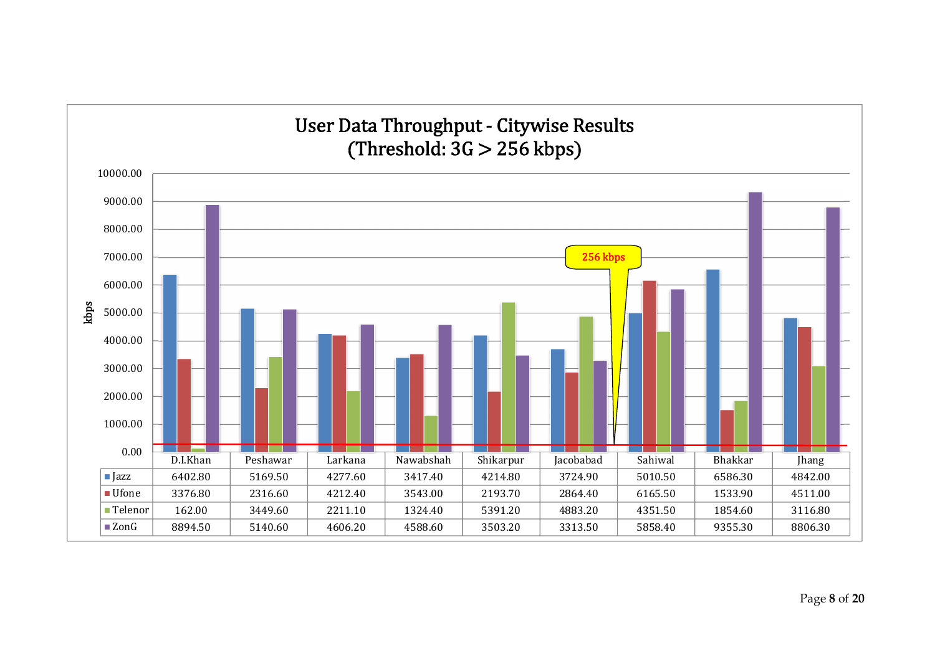

#### Page **8** of **20**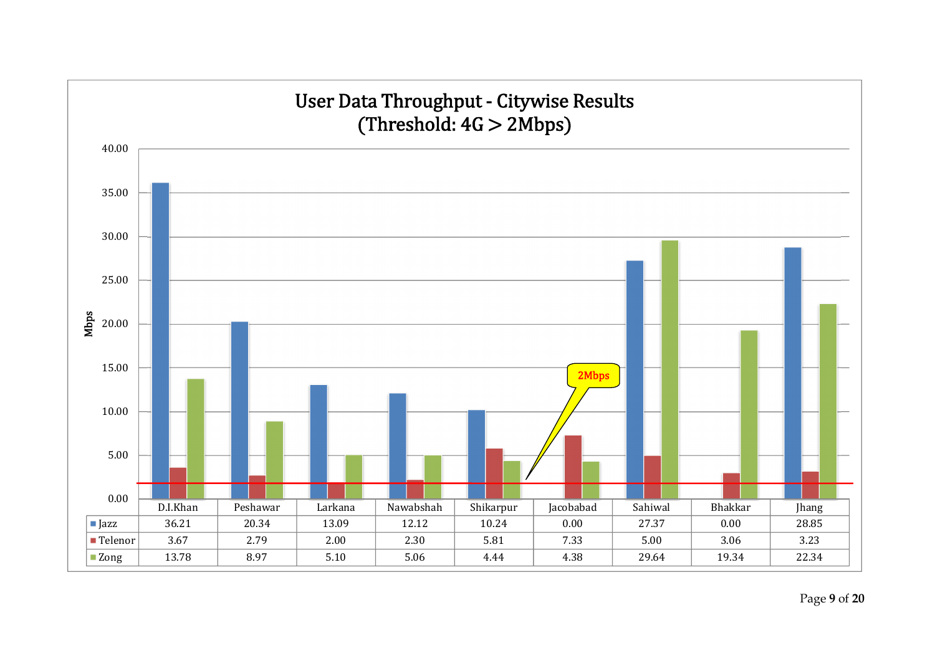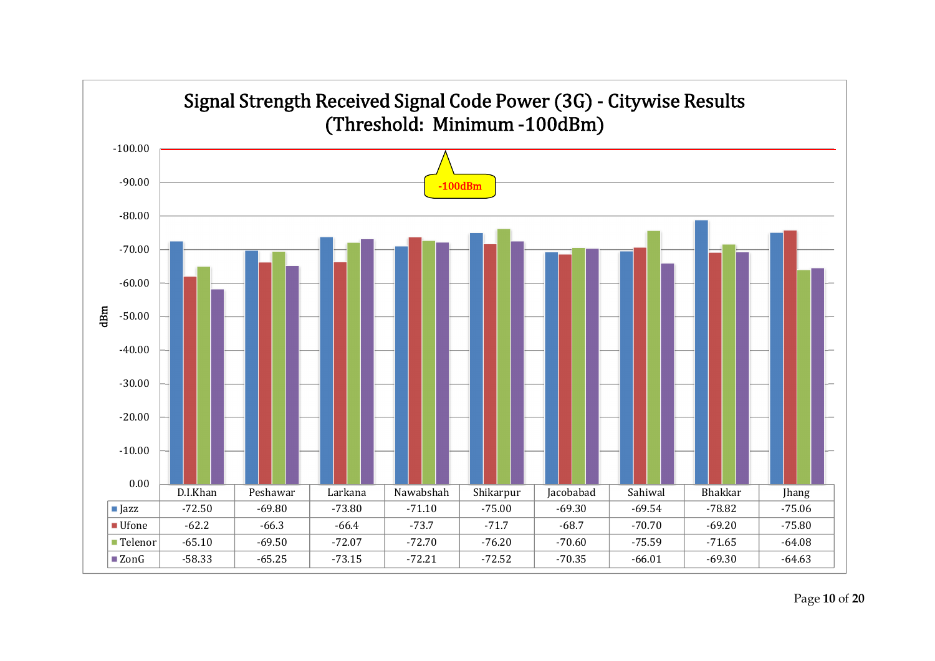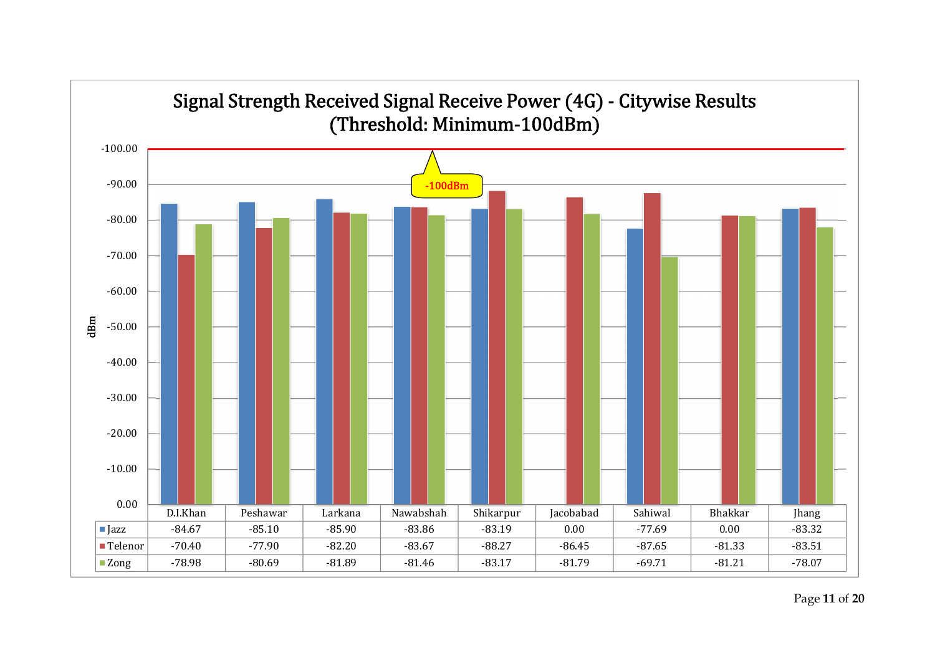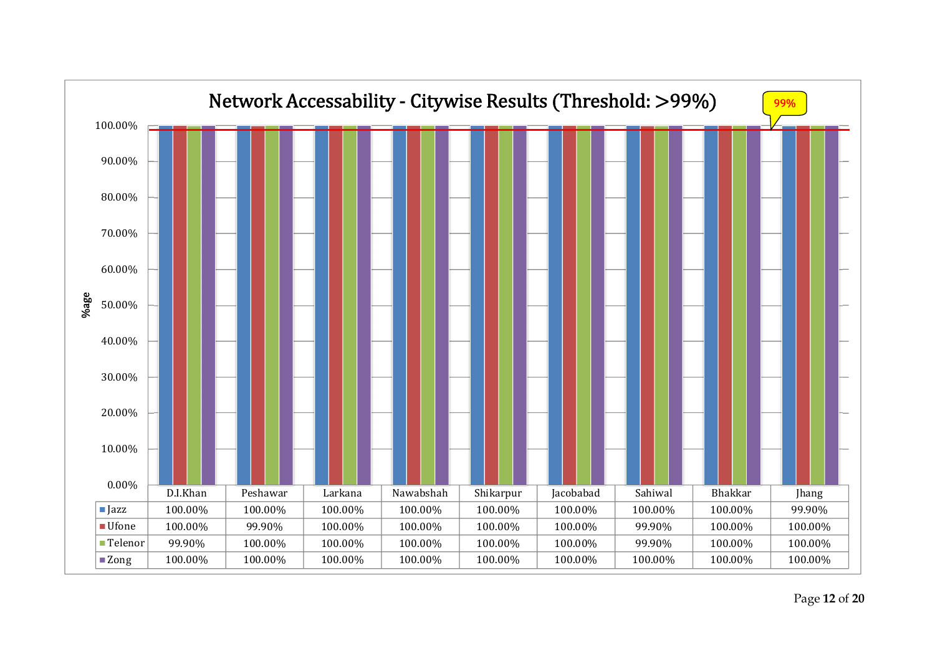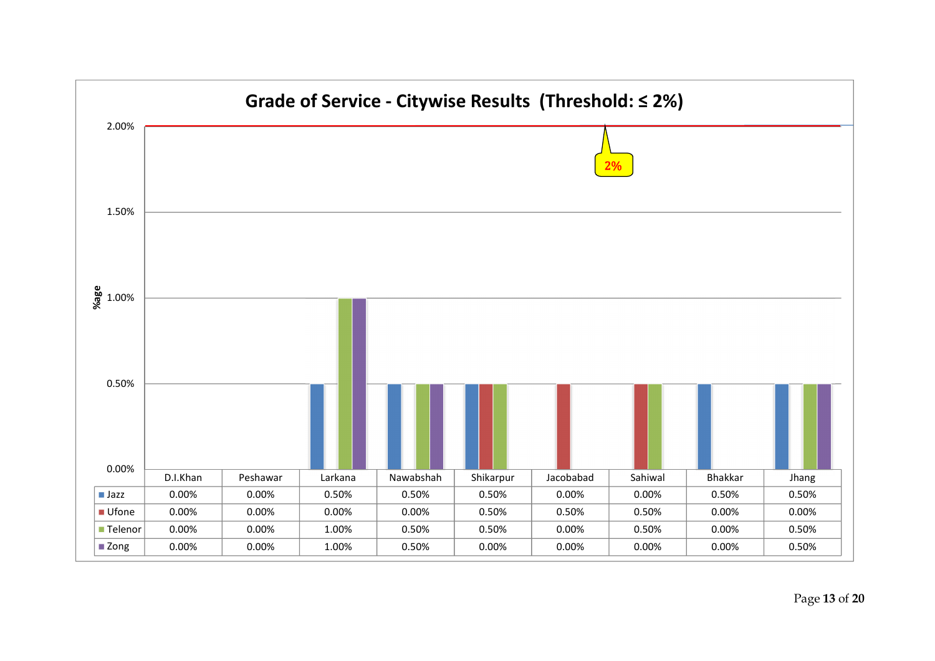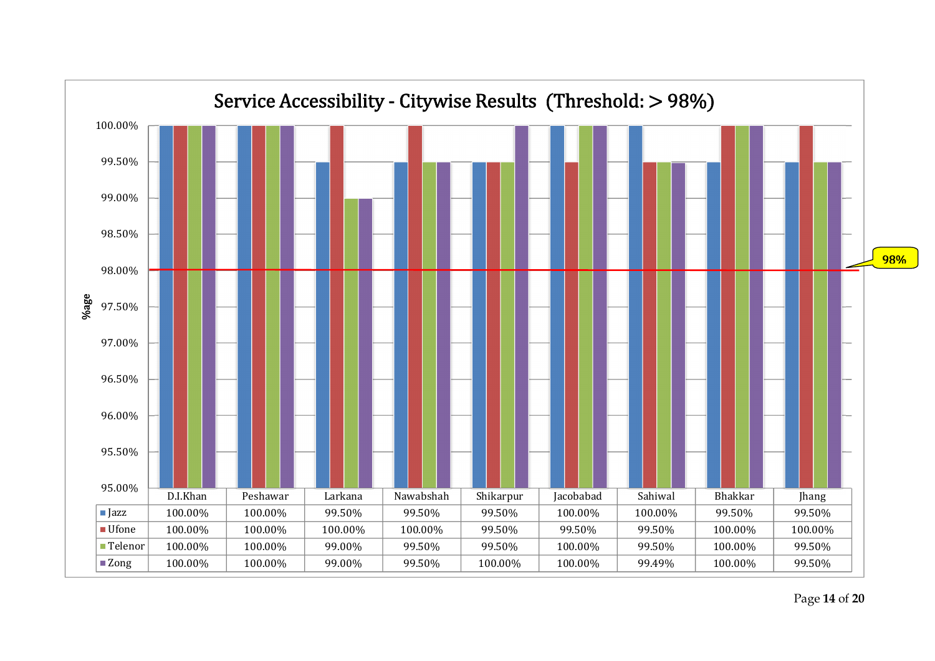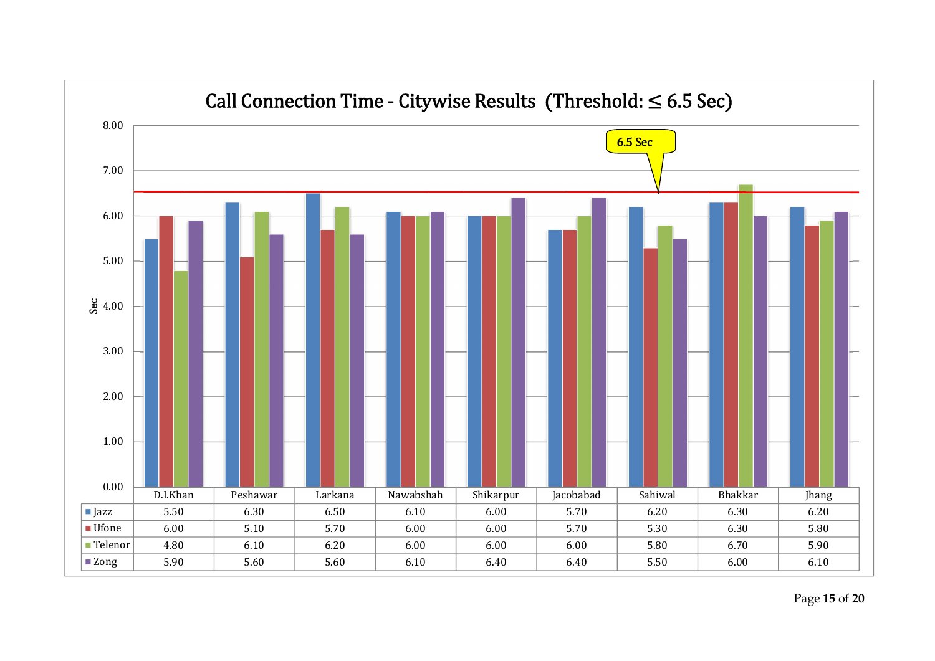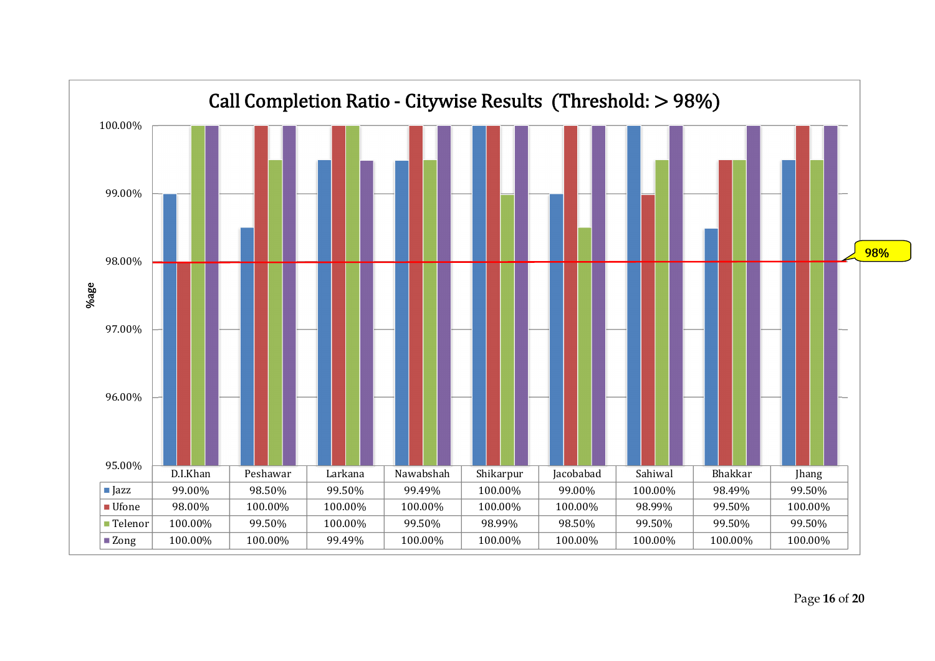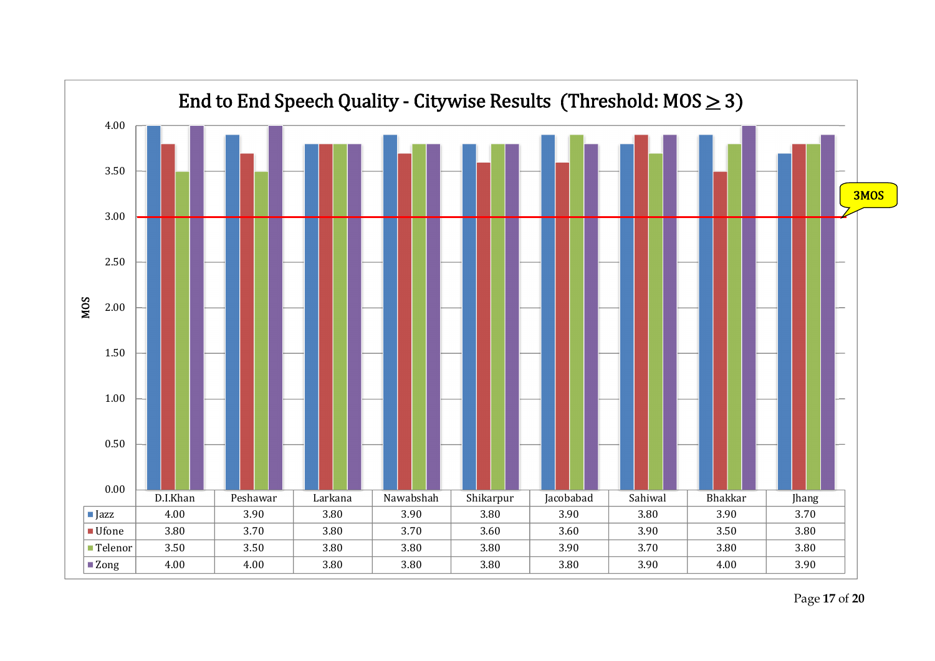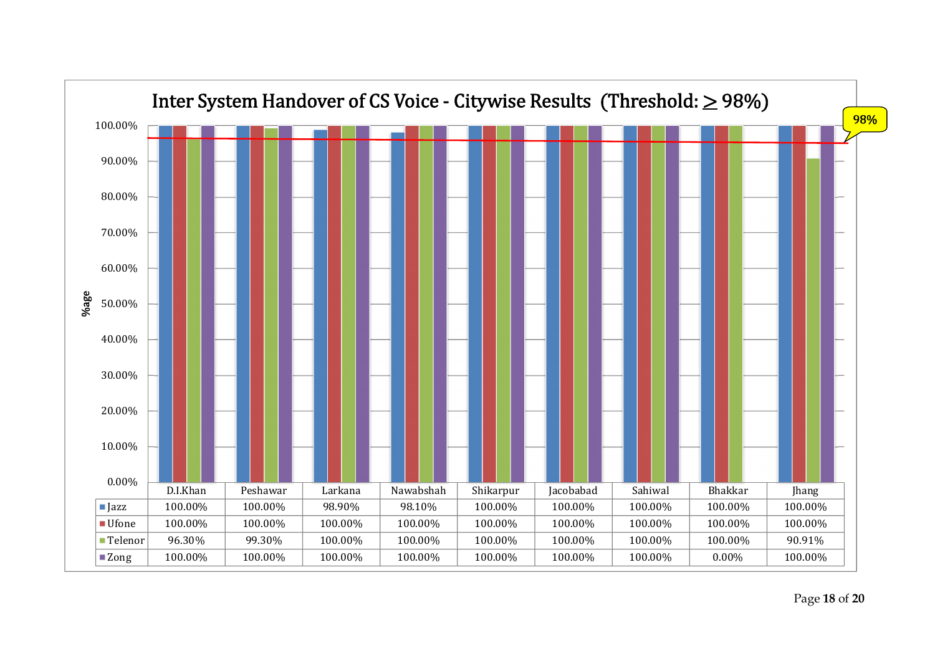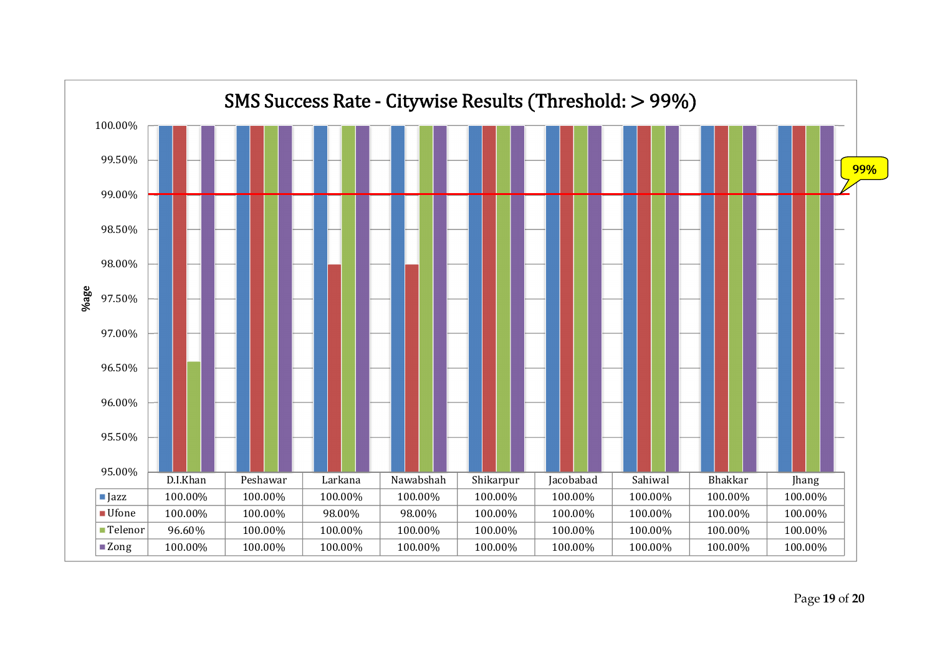